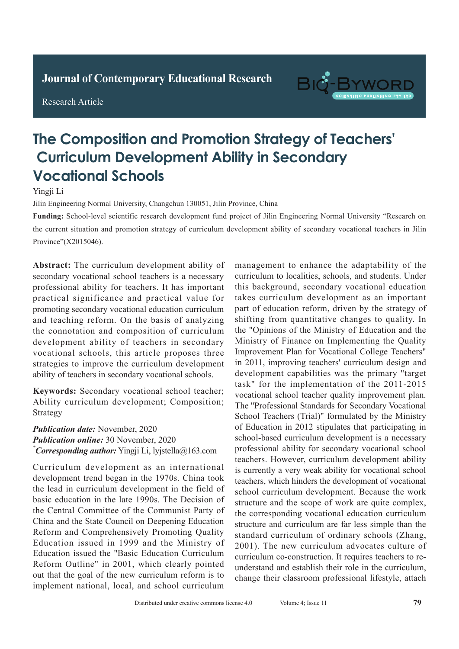**Journal of Clinical and Nursing Research Journal of Contemporary Educational Research**

**Research Article** 

Research Article



# **The Composition and Promotion Strategy of Teachers' Curriculum Development Ability in Secondary Tuberculosis** The Affiliated Hospital of Chifeng College, Chifeng City 024005, Inner Mongolia, China

Yingji Li

Jilin Engineering Normal University, Changchun 130051, Jilin Province, China

Funding: School-level scientific research development fund project of Jilin Engineering Normal University "Research on the current situation and promotion strategy of curriculum development ability of secondary vocational teachers in Jilin Province" (X2015046). Province" (X2015046). **Abstract:** *Aim:* To explore the diagnostic value of the current situation and promotion strategy of curriculum Pulmonary tuberculosis is a serious respiratory disease religion about the secondary vocational teachers in strill

Abstract: The curriculum development ability of resort were ring conventional actors priced were retrospectively and secondary vocational school teachers is a necessary professional ability for teachers. It has important professional ability for teachers. It has important processional detrity for cedencies. It has important promoting secondary vocational education curriculum promoting secondary vocational education curriculum promoting secondary vocational education carried. the connotation and composition of curriculum development ability of teachers in secondary detection rate of spiral Countries in Secondary vocational schools, this article proposes three strategies to improve the curriculum development ability of teachers in secondary vocational schools.

Keywords: Secondary vocational school teacher; Ability curriculum development; Composition; Strategy and the accuracy rate of active  $\mathcal{S}$ rate of 92.00% (*P*>0.05) in the conventional chest  $\kappa$ eyworus. Secondary vocational school teacher,  $s$ uategy

pulmonary tuberculosis signs was 98.865 higher than  $98.85$  higher than  $98.85$  higher than  $98.85$  higher than  $98.85$  higher than  $98.85$  higher than  $98.85$  higher than  $98.85$  higher than  $98.85$  higher than  $98.85$  h *t ubilitation due.* Provention, 2020. **The difference was statistically significant (***P***<sub>0.05</sub>).** *\* Corresponding author: Yingji Li, lyjstella@163.com* **Publication date:** November, 2020 **Publication online:** 30 November, 2020

Curriculum development as an international development trend began in the 1970s. China took the lead in curriculum development in the field of basic education in the late 1990s. The Decision of  $\alpha$ the Central Committee of the Communist Party of China and the State Council on Deepening Education Reform and Comprehensively Promoting Quality **Education issued the "Basic Education Curriculum** Reform Outline" in 2001, which clearly pointed out that the goal of the new curriculum reform is to implement national, local, and school curriculum Education issued in 1999 and the Ministry of The difference was statistically significant (*P*<0.05). *Curriculum development as an international* 

management to enhance the adaptability of the management to emanited the adaptaionry of the curriculum to localities, schools, and students. Under this background, secondary vocational education takes curriculum development as an important part of education reform, driven by the strategy of part of calculated recent, and it will be stategy of the "Opinions of the Ministry of Education and the more opinions of the finance of Examplementing the Quality Improvement Plan for Vocational College Teachers" in 2011, improving teachers' curriculum design and the diagnosis of the diagnosis of the diagnosis of the diagnosis development capabilities was the primary "target task" for the implementation of the 2011-2015 vocational school teacher quality improvement plan. The "Professional Standards for Secondary Vocational School Teachers (Trial)" formulated by the Ministry sensor reasons (11,2) remember by the triminary<br>of Education in 2012 stipulates that participating in of Education in 2012 supulates that participating in school-based curriculum development is a necessary professional ability for secondary vocational school teachers. However, curriculum development ability is currently a very weak ability for vocational school teachers, which hinders the development of vocational **1 Information** and **methods** and **methods** contained the work the corresponding vocational education curriculum standard curriculum of ordinary schools (Zhang, 2001). The new curriculum advocates culture of curriculum co-construction. It requires teachers to reunderstand and establish their role in the curriculum, change their classroom professional lifestyle, attach enhanced scan. There were  $34/36$ structure and the scope of work are quite complex, structure and curriculum are far less simple than the management to enhance the adaptability of the<br>curriculum to localities, schools, and students. Under<br>this background, secondary vocational education<br>takes curriculum development as an important<br>part of education reform, dr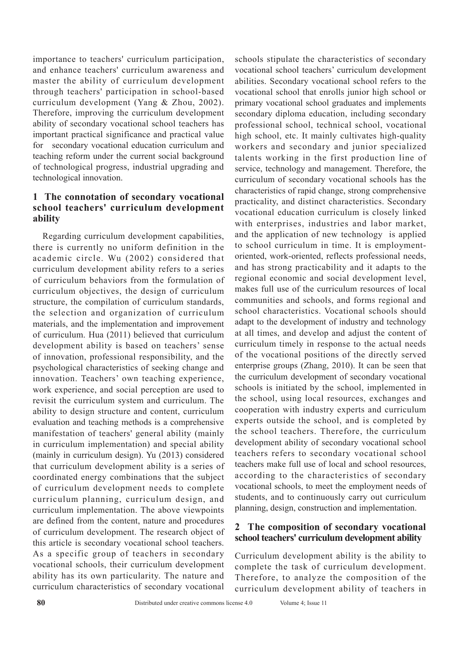importance to teachers' curriculum participation, and enhance teachers' curriculum awareness and master the ability of curriculum development through teachers' participation in school-based curriculum development (Yang & Zhou, 2002). Therefore, improving the curriculum development ability of secondary vocational school teachers has important practical significance and practical value for secondary vocational education curriculum and teaching reform under the current social background of technological progress, industrial upgrading and technological innovation.

# **1 The connotation of secondary vocational school teachers' curriculum development ability**

Regarding curriculum development capabilities, there is currently no uniform definition in the academic circle. Wu (2002) considered that curriculum development ability refers to a series of curriculum behaviors from the formulation of curriculum objectives, the design of curriculum structure, the compilation of curriculum standards, the selection and organization of curriculum materials, and the implementation and improvement of curriculum. Hua (2011) believed that curriculum development ability is based on teachers' sense of innovation, professional responsibility, and the psychological characteristics of seeking change and innovation. Teachers' own teaching experience, work experience, and social perception are used to revisit the curriculum system and curriculum. The ability to design structure and content, curriculum evaluation and teaching methods is a comprehensive manifestation of teachers' general ability (mainly in curriculum implementation) and special ability (mainly in curriculum design). Yu (2013) considered that curriculum development ability is a series of coordinated energy combinations that the subject of curriculum development needs to complete curriculum planning, curriculum design, and curriculum implementation. The above viewpoints are defined from the content, nature and procedures of curriculum development. The research object of this article is secondary vocational school teachers. As a specific group of teachers in secondary vocational schools, their curriculum development ability has its own particularity. The nature and curriculum characteristics of secondary vocational

schools stipulate the characteristics of secondary vocational school teachers' curriculum development abilities. Secondary vocational school refers to the vocational school that enrolls junior high school or primary vocational school graduates and implements secondary diploma education, including secondary professional school, technical school, vocational high school, etc. It mainly cultivates high-quality workers and secondary and junior specialized talents working in the first production line of service, technology and management. Therefore, the curriculum of secondary vocational schools has the characteristics of rapid change, strong comprehensive practicality, and distinct characteristics. Secondary vocational education curriculum is closely linked with enterprises, industries and labor market, and the application of new technology is applied to school curriculum in time. It is employmentoriented, work-oriented, reflects professional needs, and has strong practicability and it adapts to the regional economic and social development level, makes full use of the curriculum resources of local communities and schools, and forms regional and school characteristics. Vocational schools should adapt to the development of industry and technology at all times, and develop and adjust the content of curriculum timely in response to the actual needs of the vocational positions of the directly served enterprise groups (Zhang, 2010). It can be seen that the curriculum development of secondary vocational schools is initiated by the school, implemented in the school, using local resources, exchanges and cooperation with industry experts and curriculum experts outside the school, and is completed by the school teachers. Therefore, the curriculum development ability of secondary vocational school teachers refers to secondary vocational school teachers make full use of local and school resources, according to the characteristics of secondary vocational schools, to meet the employment needs of students, and to continuously carry out curriculum planning, design, construction and implementation.

## **2 The composition of secondary vocational school teachers' curriculum development ability**

Curriculum development ability is the ability to complete the task of curriculum development. Therefore, to analyze the composition of the curriculum development ability of teachers in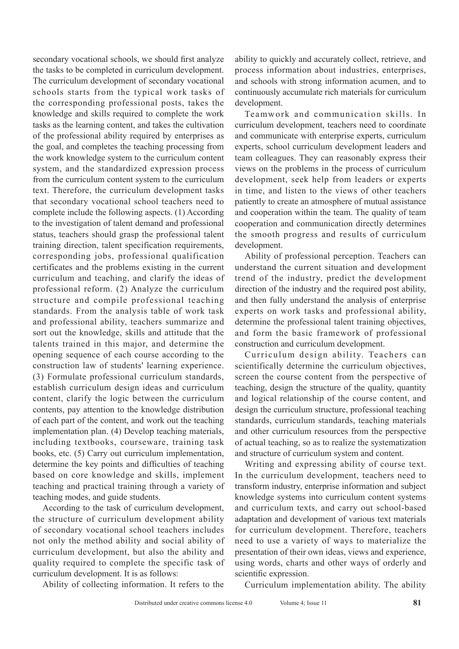secondary vocational schools, we should first analyze the tasks to be completed in curriculum development. The curriculum development of secondary vocational schools starts from the typical work tasks of the corresponding professional posts, takes the knowledge and skills required to complete the work tasks as the learning content, and takes the cultivation of the professional ability required by enterprises as the goal, and completes the teaching processing from the work knowledge system to the curriculum content system, and the standardized expression process from the curriculum content system to the curriculum text. Therefore, the curriculum development tasks that secondary vocational school teachers need to complete include the following aspects. (1) According to the investigation of talent demand and professional status, teachers should grasp the professional talent training direction, talent specification requirements, corresponding jobs, professional qualification certificates and the problems existing in the current curriculum and teaching, and clarify the ideas of professional reform. (2) Analyze the curriculum structure and compile professional teaching standards. From the analysis table of work task and professional ability, teachers summarize and sort out the knowledge, skills and attitude that the talents trained in this major, and determine the opening sequence of each course according to the construction law of students' learning experience. (3) Formulate professional curriculum standards, establish curriculum design ideas and curriculum content, clarify the logic between the curriculum contents, pay attention to the knowledge distribution of each part of the content, and work out the teaching implementation plan. (4) Develop teaching materials, including textbooks, courseware, training task books, etc. (5) Carry out curriculum implementation, determine the key points and difficulties of teaching based on core knowledge and skills, implement teaching and practical training through a variety of teaching modes, and guide students.

According to the task of curriculum development, the structure of curriculum development ability of secondary vocational school teachers includes not only the method ability and social ability of curriculum development, but also the ability and quality required to complete the specific task of curriculum development. It is as follows:

ability to quickly and accurately collect, retrieve, and process information about industries, enterprises, and schools with strong information acumen, and to continuously accumulate rich materials for curriculum development.

Teamwork and communication skills. In curriculum development, teachers need to coordinate and communicate with enterprise experts, curriculum experts, school curriculum development leaders and team colleagues. They can reasonably express their views on the problems in the process of curriculum development, seek help from leaders or experts in time, and listen to the views of other teachers patiently to create an atmosphere of mutual assistance and cooperation within the team. The quality of team cooperation and communication directly determines the smooth progress and results of curriculum development.

Ability of professional perception. Teachers can understand the current situation and development trend of the industry, predict the development direction of the industry and the required post ability, and then fully understand the analysis of enterprise experts on work tasks and professional ability, determine the professional talent training objectives, and form the basic framework of professional construction and curriculum development.

Curriculum design ability. Teachers can scientifically determine the curriculum objectives, screen the course content from the perspective of teaching, design the structure of the quality, quantity and logical relationship of the course content, and design the curriculum structure, professional teaching standards, curriculum standards, teaching materials and other curriculum resources from the perspective of actual teaching, so as to realize the systematization and structure of curriculum system and content.

Writing and expressing ability of course text. In the curriculum development, teachers need to transform industry, enterprise information and subject knowledge systems into curriculum content systems and curriculum texts, and carry out school-based adaptation and development of various text materials for curriculum development. Therefore, teachers need to use a variety of ways to materialize the presentation of their own ideas, views and experience, using words, charts and other ways of orderly and scientific expression.

Ability of collecting information. It refers to the

Curriculum implementation ability. The ability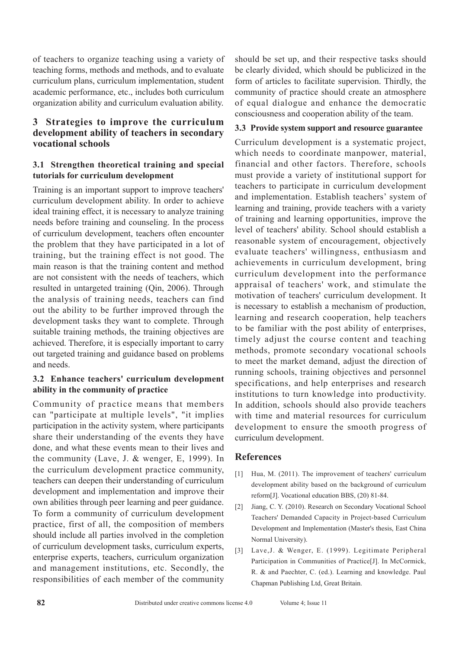of teachers to organize teaching using a variety of teaching forms, methods and methods, and to evaluate curriculum plans, curriculum implementation, student academic performance, etc., includes both curriculum organization ability and curriculum evaluation ability.

# **3 Strategies to improve the curriculum development ability of teachers in secondary vocational schools**

#### **3.1 Strengthen theoretical training and special tutorials for curriculum development**

Training is an important support to improve teachers' curriculum development ability. In order to achieve ideal training effect, it is necessary to analyze training needs before training and counseling. In the process of curriculum development, teachers often encounter the problem that they have participated in a lot of training, but the training effect is not good. The main reason is that the training content and method are not consistent with the needs of teachers, which resulted in untargeted training (Qin, 2006). Through the analysis of training needs, teachers can find out the ability to be further improved through the development tasks they want to complete. Through suitable training methods, the training objectives are achieved. Therefore, it is especially important to carry out targeted training and guidance based on problems and needs.

## **3.2 Enhance teachers' curriculum development ability in the community of practice**

Community of practice means that members can "participate at multiple levels", "it implies participation in the activity system, where participants share their understanding of the events they have done, and what these events mean to their lives and the community (Lave, J. & wenger, E, 1999). In the curriculum development practice community, teachers can deepen their understanding of curriculum development and implementation and improve their own abilities through peer learning and peer guidance. To form a community of curriculum development practice, first of all, the composition of members should include all parties involved in the completion of curriculum development tasks, curriculum experts, enterprise experts, teachers, curriculum organization and management institutions, etc. Secondly, the responsibilities of each member of the community should be set up, and their respective tasks should be clearly divided, which should be publicized in the form of articles to facilitate supervision. Thirdly, the community of practice should create an atmosphere of equal dialogue and enhance the democratic consciousness and cooperation ability of the team.

#### **3.3 Provide system support and resource guarantee**

Curriculum development is a systematic project, which needs to coordinate manpower, material, financial and other factors. Therefore, schools must provide a variety of institutional support for teachers to participate in curriculum development and implementation. Establish teachers' system of learning and training, provide teachers with a variety of training and learning opportunities, improve the level of teachers' ability. School should establish a reasonable system of encouragement, objectively evaluate teachers' willingness, enthusiasm and achievements in curriculum development, bring curriculum development into the performance appraisal of teachers' work, and stimulate the motivation of teachers' curriculum development. It is necessary to establish a mechanism of production, learning and research cooperation, help teachers to be familiar with the post ability of enterprises, timely adjust the course content and teaching methods, promote secondary vocational schools to meet the market demand, adjust the direction of running schools, training objectives and personnel specifications, and help enterprises and research institutions to turn knowledge into productivity. In addition, schools should also provide teachers with time and material resources for curriculum development to ensure the smooth progress of curriculum development.

## **References**

- [1] Hua, M. (2011). The improvement of teachers' curriculum development ability based on the background of curriculum reform[J]. Vocational education BBS, (20) 81-84.
- [2] Jiang, C. Y. (2010). Research on Secondary Vocational School Teachers' Demanded Capacity in Project-based Curriculum Development and Implementation (Master's thesis, East China Normal University).
- [3] Lave,J. & Wenger, E. (1999). Legitimate Peripheral Participation in Communities of Practice[J]. In McCormick, R. & and Paechter, C. (ed.). Learning and knowledge. Paul Chapman Publishing Ltd, Great Britain.